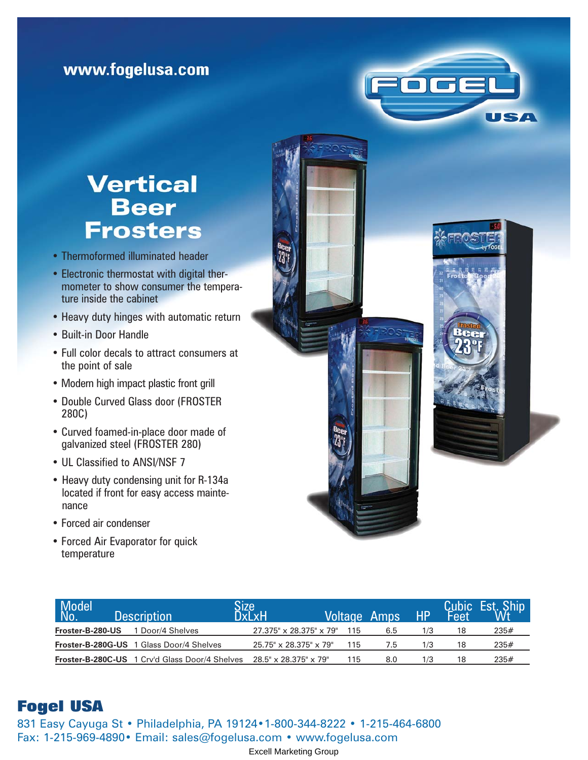## www.fogelusa.com

# **Vertical Beer Frosters**

- Thermoformed illuminated header
- Electronic thermostat with digital thermometer to show consumer the temperature inside the cabinet
- Heavy duty hinges with automatic return
- Built-in Door Handle
- Full color decals to attract consumers at the point of sale
- Modern high impact plastic front grill
- Double Curved Glass door (FROSTER 280C)
- Curved foamed-in-place door made of galvanized steel (FROSTER 280)
- UL Classified to ANSI/NSF 7
- Heavy duty condensing unit for R-134a located if front for easy access maintenance
- Forced air condenser
- Forced Air Evaporator for quick temperature

| Model <sup>l</sup><br>No. | <b>Description</b>                             | Size,<br><b>DxLxH</b>              | <b>Voltage Amps</b> |     | HP  |    | Cubic Est. Ship |
|---------------------------|------------------------------------------------|------------------------------------|---------------------|-----|-----|----|-----------------|
| Froster-B-280-US          | 1 Door/4 Shelves                               | 27.375" x 28.375" x 79"            | 115                 | 6.5 | 1/3 | 18 | 235#            |
|                           | Froster-B-280G-US 1 Glass Door/4 Shelves       | $25.75" \times 28.375" \times 79"$ | 115                 | 7.b | 1/3 | 18 | 235#            |
|                           | Froster-B-280C-US 1 Crv'd Glass Door/4 Shelves | 28.5" x 28.375" x 79"              | 115                 | 8.0 | 1/3 | 18 | 235#            |

ocel

USA

### **Fogel USA**

831 Easy Cayuga St • Philadelphia, PA 19124•1-800-344-8222 • 1-215-464-6800 Fax: 1-215-969-4890• Email: sales@fogelusa.com • www.fogelusa.com

Excell Marketing Group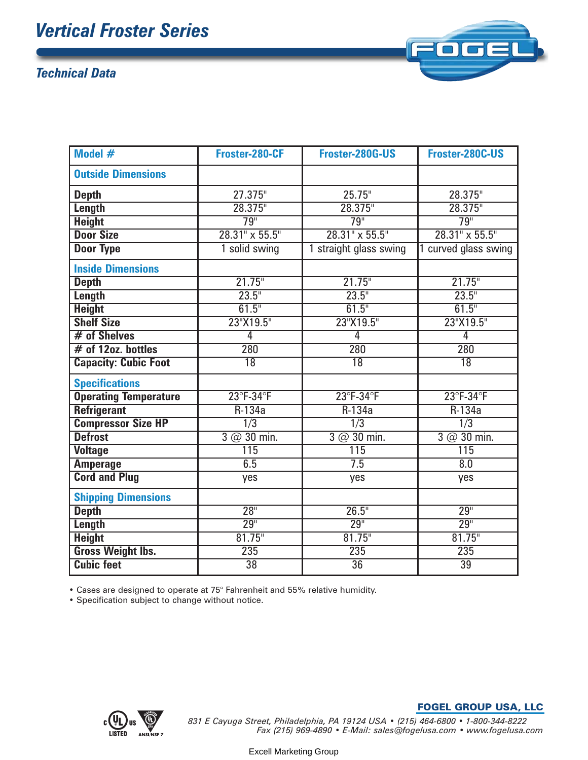# *Vertical Froster Series*

### *Technical Data*



| Model #                      | Froster-280-CF                 | Froster-280G-US           | Froster-280C-US         |  |
|------------------------------|--------------------------------|---------------------------|-------------------------|--|
| <b>Outside Dimensions</b>    |                                |                           |                         |  |
| <b>Depth</b>                 | 27.375"                        | 25.75"                    | 28.375"                 |  |
| <b>Length</b>                | 28.375"                        | 28.375"                   | 28.375"                 |  |
| <b>Height</b>                | 79"                            | 79"                       | $\overline{79}$ "       |  |
| <b>Door Size</b>             | $28.31$ " x 55.5"              | $28.31$ " x 55.5"         | $28.31'' \times 55.5''$ |  |
| <b>Door Type</b>             | 1 solid swing                  | 1 straight glass swing    | 1 curved glass swing    |  |
| <b>Inside Dimensions</b>     |                                |                           |                         |  |
| <b>Depth</b>                 | 21.75"                         | 21.75"                    | $21.75$ "               |  |
| <b>Length</b>                | $23.5^{\circ}$                 | $23.5^{\circ}$            | 23.5"                   |  |
| <b>Height</b>                | 61.5"                          | 61.5"                     | 61.5"                   |  |
| <b>Shelf Size</b>            | 23"X19.5"                      | 23"X19.5"                 | 23"X19.5"               |  |
| # of Shelves                 | 4                              | 4                         | 4                       |  |
| $#$ of 12oz. bottles         | 280                            | 280                       | 280                     |  |
| <b>Capacity: Cubic Foot</b>  | $\overline{18}$                | $\overline{18}$           | $\overline{18}$         |  |
| <b>Specifications</b>        |                                |                           |                         |  |
| <b>Operating Temperature</b> | $23^{\circ}$ F-34 $^{\circ}$ F | $23^\circ$ F-34 $\circ$ F | 23°F-34°F               |  |
| <b>Refrigerant</b>           | $R-134a$                       | $R-134a$                  | $R-134a$                |  |
| <b>Compressor Size HP</b>    | $\overline{1/3}$               | $\overline{1/3}$          | $\overline{1/3}$        |  |
| <b>Defrost</b>               | $3 @ 30$ min.                  | $3 @ 30$ min.             | $3$ @ 30 min.           |  |
| <b>Voltage</b>               | 115                            | 115                       | 115                     |  |
| <b>Amperage</b>              | 6.5                            | $\overline{7.5}$          | $\overline{8.0}$        |  |
| <b>Cord and Plug</b>         | yes                            | yes                       | yes                     |  |
| <b>Shipping Dimensions</b>   |                                |                           |                         |  |
| <b>Depth</b>                 | 28 <sup>II</sup>               | 26.5"                     | 29 <sup>''</sup>        |  |
| <b>Length</b>                | 29 <sup>''</sup>               | 29 <sup>''</sup>          | 29 <sup>''</sup>        |  |
| <b>Height</b>                | $81.75$ "                      | $81.75$ "                 | $81.75$ "               |  |
| <b>Gross Weight Ibs.</b>     | 235                            | 235                       | 235                     |  |
| <b>Cubic feet</b>            | $\overline{38}$                | $\overline{36}$           | $\overline{39}$         |  |

• Cases are designed to operate at 75° Fahrenheit and 55% relative humidity.

• Specification subject to change without notice.



#### FOGEL GROUP USA, LLC

*831 E Cayuga Street, Philadelphia, PA 19124 USA • (215) 464-6800 • 1-800-344-8222 Fax (215) 969-4890 • E-Mail: sales@fogelusa.com • www.fogelusa.com*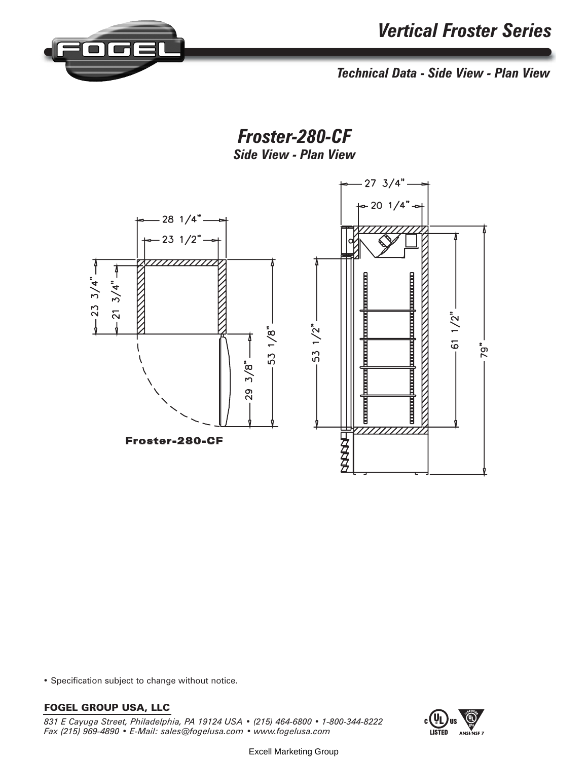

*Technical Data - Side View - Plan View*

*Froster-280-CF Side View - Plan View*



• Specification subject to change without notice.

#### FOGEL GROUP USA, LLC

*831 E Cayuga Street, Philadelphia, PA 19124 USA • (215) 464-6800 • 1-800-344-8222 Fax (215) 969-4890 • E-Mail: sales@fogelusa.com • www.fogelusa.com*